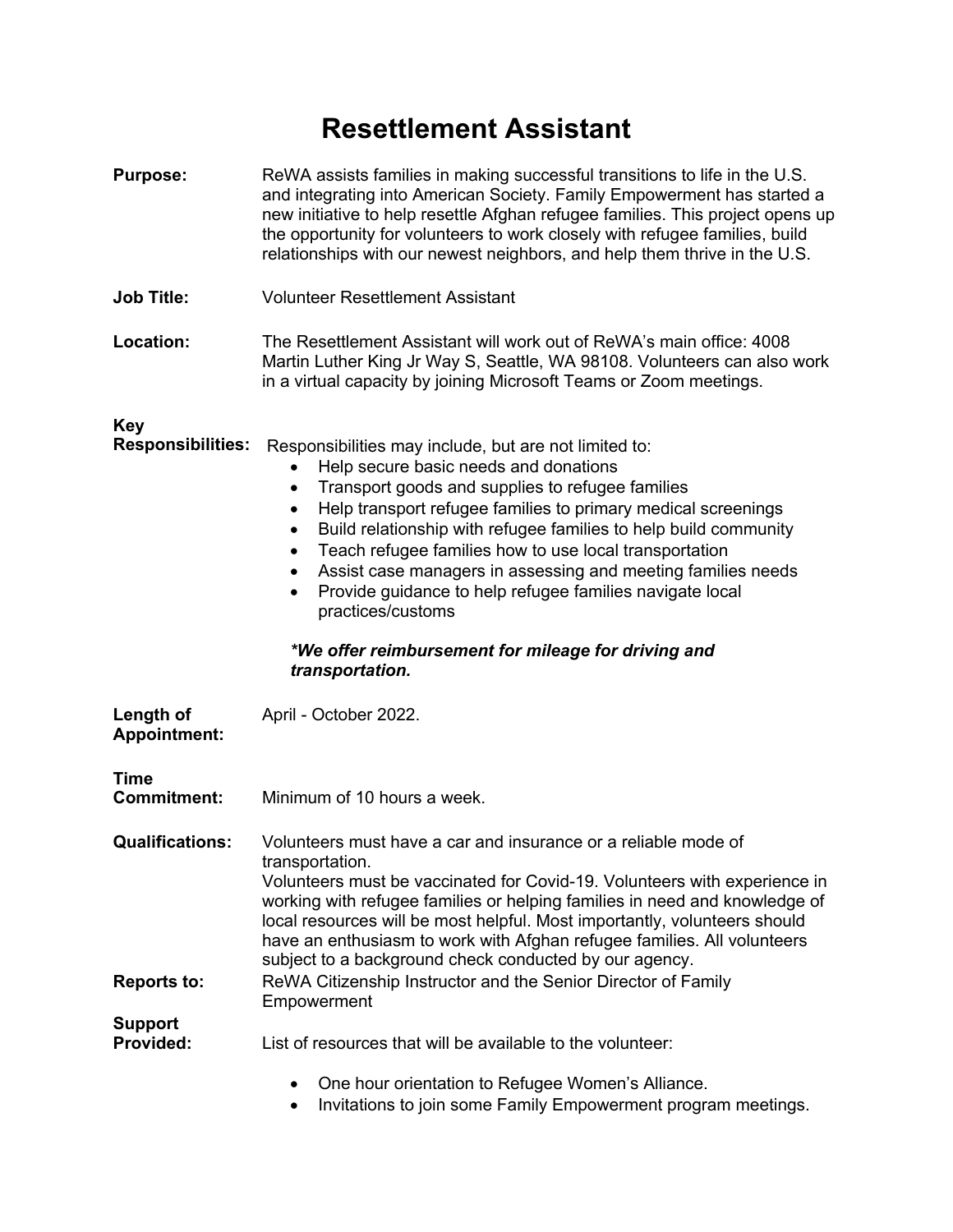## **Resettlement Assistant**

| <b>Purpose:</b>                              | ReWA assists families in making successful transitions to life in the U.S.<br>and integrating into American Society. Family Empowerment has started a<br>new initiative to help resettle Afghan refugee families. This project opens up<br>the opportunity for volunteers to work closely with refugee families, build<br>relationships with our newest neighbors, and help them thrive in the U.S.                                                                                                                                                                                                                                                |
|----------------------------------------------|----------------------------------------------------------------------------------------------------------------------------------------------------------------------------------------------------------------------------------------------------------------------------------------------------------------------------------------------------------------------------------------------------------------------------------------------------------------------------------------------------------------------------------------------------------------------------------------------------------------------------------------------------|
| <b>Job Title:</b>                            | <b>Volunteer Resettlement Assistant</b>                                                                                                                                                                                                                                                                                                                                                                                                                                                                                                                                                                                                            |
| Location:                                    | The Resettlement Assistant will work out of ReWA's main office: 4008<br>Martin Luther King Jr Way S, Seattle, WA 98108. Volunteers can also work<br>in a virtual capacity by joining Microsoft Teams or Zoom meetings.                                                                                                                                                                                                                                                                                                                                                                                                                             |
| <b>Key</b><br><b>Responsibilities:</b>       | Responsibilities may include, but are not limited to:<br>Help secure basic needs and donations<br>Transport goods and supplies to refugee families<br>$\bullet$<br>Help transport refugee families to primary medical screenings<br>$\bullet$<br>Build relationship with refugee families to help build community<br>$\bullet$<br>Teach refugee families how to use local transportation<br>$\bullet$<br>Assist case managers in assessing and meeting families needs<br>٠<br>Provide guidance to help refugee families navigate local<br>$\bullet$<br>practices/customs<br>*We offer reimbursement for mileage for driving and<br>transportation. |
| Length of<br><b>Appointment:</b>             | April - October 2022.                                                                                                                                                                                                                                                                                                                                                                                                                                                                                                                                                                                                                              |
| Time<br><b>Commitment:</b>                   | Minimum of 10 hours a week.                                                                                                                                                                                                                                                                                                                                                                                                                                                                                                                                                                                                                        |
| <b>Qualifications:</b><br><b>Reports to:</b> | Volunteers must have a car and insurance or a reliable mode of<br>transportation.<br>Volunteers must be vaccinated for Covid-19. Volunteers with experience in<br>working with refugee families or helping families in need and knowledge of<br>local resources will be most helpful. Most importantly, volunteers should<br>have an enthusiasm to work with Afghan refugee families. All volunteers<br>subject to a background check conducted by our agency.<br>ReWA Citizenship Instructor and the Senior Director of Family                                                                                                                    |
| <b>Support</b>                               | Empowerment                                                                                                                                                                                                                                                                                                                                                                                                                                                                                                                                                                                                                                        |
| <b>Provided:</b>                             | List of resources that will be available to the volunteer:                                                                                                                                                                                                                                                                                                                                                                                                                                                                                                                                                                                         |
|                                              | One hour orientation to Refugee Women's Alliance.                                                                                                                                                                                                                                                                                                                                                                                                                                                                                                                                                                                                  |

• Invitations to join some Family Empowerment program meetings.